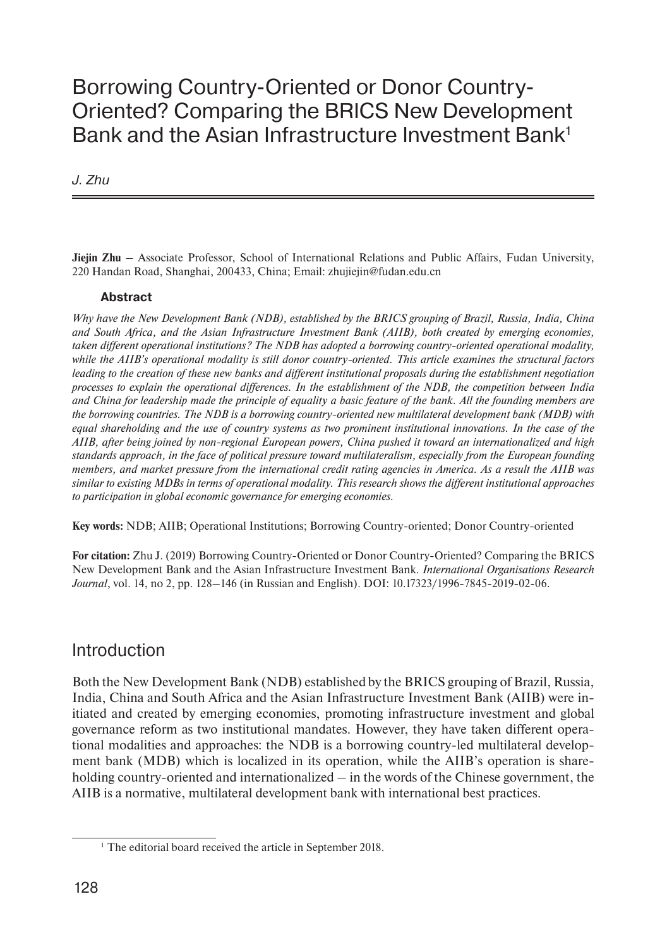# Borrowing Country-Oriented or Donor Country-Oriented? Comparing the BRICS New Development Bank and the Asian Infrastructure Investment Bank<sup>1</sup>

*J. Zhu*

**Jiejin Zhu** – Associate Professor, School of International Relations and Public Affairs, Fudan University, 220 Handan Road, Shanghai, 200433, China; Email: zhujiejin@fudan.edu.cn

#### **Abstract**

*Why have the New Development Bank (NDB), established by the BRICS grouping of Brazil, Russia, India, China and South Africa, and the Asian Infrastructure Investment Bank (AIIB), both created by emerging economies, taken different operational institutions? The NDB has adopted a borrowing country-oriented operational modality, while the AIIB's operational modality is still donor country-oriented. This article examines the structural factors leading to the creation of these new banks and different institutional proposals during the establishment negotiation processes to explain the operational differences. In the establishment of the NDB, the competition between India and China for leadership made the principle of equality a basic feature of the bank. All the founding members are the borrowing countries. The NDB is a borrowing country-oriented new multilateral development bank (MDB) with equal shareholding and the use of country systems as two prominent institutional innovations. In the case of the AIIB, after being joined by non-regional European powers, China pushed it toward an internationalized and high standards approach, in the face of political pressure toward multilateralism, especially from the European founding members, and market pressure from the international credit rating agencies in America. As a result the AIIB was similar to existing MDBs in terms of operational modality. This research shows the different institutional approaches to participation in global economic governance for emerging economies.*

**Key words:** NDB; AIIB; Operational Institutions; Borrowing Country-oriented; Donor Country-oriented

**For citation:** Zhu J. (2019) Borrowing Country-Oriented or Donor Country-Oriented? Comparing the BRICS New Development Bank and the Asian Infrastructure Investment Bank. *International Organisations Research Journal*, vol. 14, no 2, pp. 128–146 (in Russian and English). DOI: 10.17323/1996-7845-2019-02-06.

# Introduction

Both the New Development Bank (NDB) established by the BRICS grouping of Brazil, Russia, India, China and South Africa and the Asian Infrastructure Investment Bank (AIIB) were initiated and created by emerging economies, promoting infrastructure investment and global governance reform as two institutional mandates. However, they have taken different operational modalities and approaches: the NDB is a borrowing country-led multilateral development bank (MDB) which is localized in its operation, while the AIIB's operation is shareholding country-oriented and internationalized – in the words of the Chinese government, the AIIB is a normative, multilateral development bank with international best practices.

<sup>&</sup>lt;sup>1</sup> The editorial board received the article in September 2018.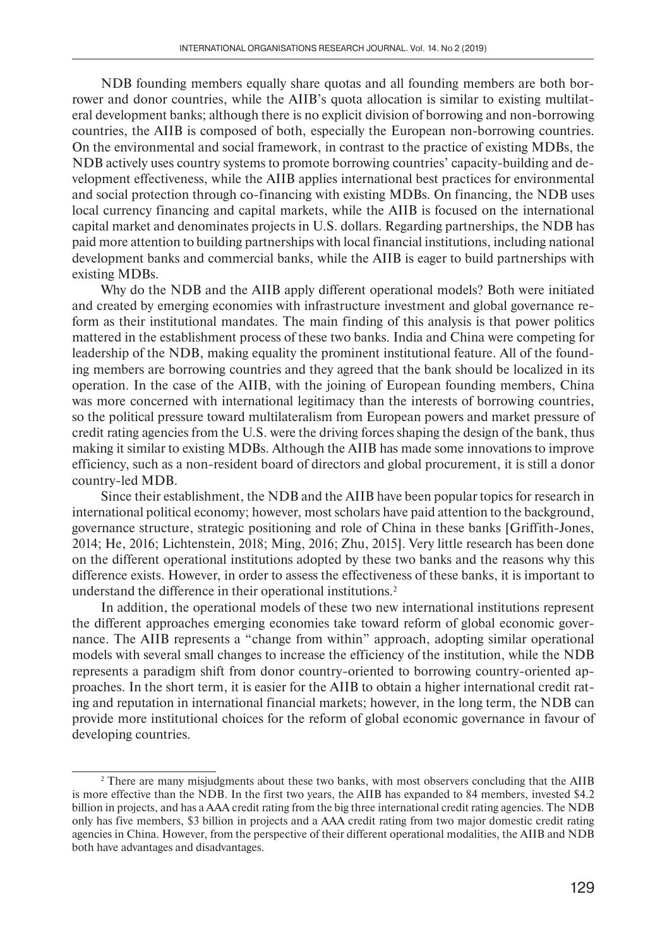NDB founding members equally share quotas and all founding members are both borrower and donor countries, while the AIIB's quota allocation is similar to existing multilateral development banks; although there is no explicit division of borrowing and non-borrowing countries, the AIIB is composed of both, especially the European non-borrowing countries. On the environmental and social framework, in contrast to the practice of existing MDBs, the NDB actively uses country systems to promote borrowing countries' capacity-building and development effectiveness, while the AIIB applies international best practices for environmental and social protection through co-financing with existing MDBs. On financing, the NDB uses local currency financing and capital markets, while the AIIB is focused on the international capital market and denominates projects in U.S. dollars. Regarding partnerships, the NDB has paid more attention to building partnerships with local financial institutions, including national development banks and commercial banks, while the AIIB is eager to build partnerships with existing MDBs.

Why do the NDB and the AIIB apply different operational models? Both were initiated and created by emerging economies with infrastructure investment and global governance reform as their institutional mandates. The main finding of this analysis is that power politics mattered in the establishment process of these two banks. India and China were competing for leadership of the NDB, making equality the prominent institutional feature. All of the founding members are borrowing countries and they agreed that the bank should be localized in its operation. In the case of the AIIB, with the joining of European founding members, China was more concerned with international legitimacy than the interests of borrowing countries, so the political pressure toward multilateralism from European powers and market pressure of credit rating agencies from the U.S. were the driving forces shaping the design of the bank, thus making it similar to existing MDBs. Although the AIIB has made some innovations to improve efficiency, such as a non-resident board of directors and global procurement, it is still a donor country-led MDB.

Since their establishment, the NDB and the AIIB have been popular topics for research in international political economy; however, most scholars have paid attention to the background, governance structure, strategic positioning and role of China in these banks [Griffith-Jones, 2014; He, 2016; Lichtenstein, 2018; Ming, 2016; Zhu, 2015]. Very little research has been done on the different operational institutions adopted by these two banks and the reasons why this difference exists. However, in order to assess the effectiveness of these banks, it is important to understand the difference in their operational institutions.<sup>2</sup>

In addition, the operational models of these two new international institutions represent the different approaches emerging economies take toward reform of global economic governance. The AIIB represents a "change from within" approach, adopting similar operational models with several small changes to increase the efficiency of the institution, while the NDB represents a paradigm shift from donor country-oriented to borrowing country-oriented approaches. In the short term, it is easier for the AIIB to obtain a higher international credit rating and reputation in international financial markets; however, in the long term, the NDB can provide more institutional choices for the reform of global economic governance in favour of developing countries.

<sup>&</sup>lt;sup>2</sup> There are many misjudgments about these two banks, with most observers concluding that the AIIB is more effective than the NDB. In the first two years, the AIIB has expanded to 84 members, invested \$4.2 billion in projects, and has a AAA credit rating from the big three international credit rating agencies. The NDB only has five members, \$3 billion in projects and a AAA credit rating from two major domestic credit rating agencies in China. However, from the perspective of their different operational modalities, the AIIB and NDB both have advantages and disadvantages.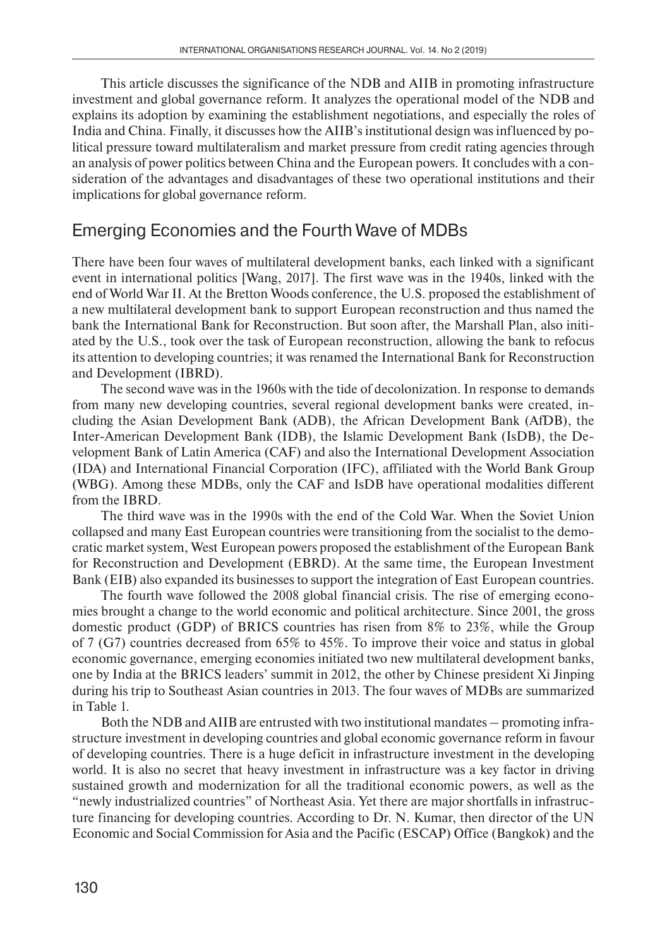This article discusses the significance of the NDB and AIIB in promoting infrastructure investment and global governance reform. It analyzes the operational model of the NDB and explains its adoption by examining the establishment negotiations, and especially the roles of India and China. Finally, it discusses how the AIIB's institutional design was influenced by political pressure toward multilateralism and market pressure from credit rating agencies through an analysis of power politics between China and the European powers. It concludes with a consideration of the advantages and disadvantages of these two operational institutions and their implications for global governance reform.

# Emerging Economies and the Fourth Wave of MDBs

There have been four waves of multilateral development banks, each linked with a significant event in international politics [Wang, 2017]. The first wave was in the 1940s, linked with the end of World War II. At the Bretton Woods conference, the U.S. proposed the establishment of a new multilateral development bank to support European reconstruction and thus named the bank the International Bank for Reconstruction. But soon after, the Marshall Plan, also initiated by the U.S., took over the task of European reconstruction, allowing the bank to refocus its attention to developing countries; it was renamed the International Bank for Reconstruction and Development (IBRD).

The second wave was in the 1960s with the tide of decolonization. In response to demands from many new developing countries, several regional development banks were created, including the Asian Development Bank (ADB), the African Development Bank (AfDB), the Inter-American Development Bank (IDB), the Islamic Development Bank (IsDB), the Development Bank of Latin America (CAF) and also the International Development Association (IDA) and International Financial Corporation (IFC), affiliated with the World Bank Group (WBG). Among these MDBs, only the CAF and IsDB have operational modalities different from the IBRD.

The third wave was in the 1990s with the end of the Cold War. When the Soviet Union collapsed and many East European countries were transitioning from the socialist to the democratic market system, West European powers proposed the establishment of the European Bank for Reconstruction and Development (EBRD). At the same time, the European Investment Bank (EIB) also expanded its businesses to support the integration of East European countries.

The fourth wave followed the 2008 global financial crisis. The rise of emerging economies brought a change to the world economic and political architecture. Since 2001, the gross domestic product (GDP) of BRICS countries has risen from 8% to 23%, while the Group of 7 (G7) countries decreased from 65% to 45%. To improve their voice and status in global economic governance, emerging economies initiated two new multilateral development banks, one by India at the BRICS leaders' summit in 2012, the other by Chinese president Xi Jinping during his trip to Southeast Asian countries in 2013. The four waves of MDBs are summarized in Table 1.

Both the NDB and AIIB are entrusted with two institutional mandates – promoting infrastructure investment in developing countries and global economic governance reform in favour of developing countries. There is a huge deficit in infrastructure investment in the developing world. It is also no secret that heavy investment in infrastructure was a key factor in driving sustained growth and modernization for all the traditional economic powers, as well as the "newly industrialized countries" of Northeast Asia. Yet there are major shortfalls in infrastructure financing for developing countries. According to Dr. N. Kumar, then director of the UN Economic and Social Commission for Asia and the Pacific (ESCAP) Office (Bangkok) and the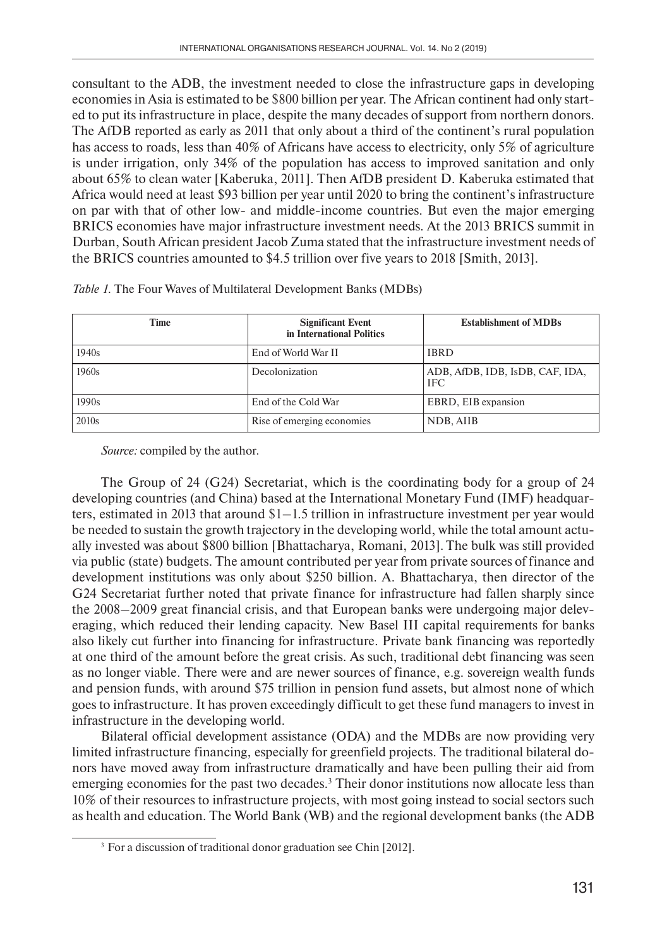consultant to the ADB, the investment needed to close the infrastructure gaps in developing economies in Asia is estimated to be \$800 billion per year. The African continent had only started to put its infrastructure in place, despite the many decades of support from northern donors. The AfDB reported as early as 2011 that only about a third of the continent's rural population has access to roads, less than 40% of Africans have access to electricity, only 5% of agriculture is under irrigation, only 34% of the population has access to improved sanitation and only about 65% to clean water [Kaberuka, 2011]. Then AfDB president D. Kaberuka estimated that Africa would need at least \$93 billion per year until 2020 to bring the continent's infrastructure on par with that of other low- and middle-income countries. But even the major emerging BRICS economies have major infrastructure investment needs. At the 2013 BRICS summit in Durban, South African president Jacob Zuma stated that the infrastructure investment needs of the BRICS countries amounted to \$4.5 trillion over five years to 2018 [Smith, 2013].

| Time              | <b>Significant Event</b><br>in International Politics | <b>Establishment of MDBs</b>                  |  |
|-------------------|-------------------------------------------------------|-----------------------------------------------|--|
| 1940s             | End of World War II                                   | <b>IBRD</b>                                   |  |
| 1960s             | Decolonization                                        | ADB, AfDB, IDB, IsDB, CAF, IDA,<br><b>IFC</b> |  |
| 1990s             | End of the Cold War                                   | EBRD, EIB expansion                           |  |
| 2010 <sub>s</sub> | Rise of emerging economies                            | NDB, AIIB                                     |  |

*Table 1.* The Four Waves of Multilateral Development Banks (MDBs)

*Source:* compiled by the author.

The Group of 24 (G24) Secretariat, which is the coordinating body for a group of 24 developing countries (and China) based at the International Monetary Fund (IMF) headquarters, estimated in 2013 that around \$1–1.5 trillion in infrastructure investment per year would be needed to sustain the growth trajectory in the developing world, while the total amount actually invested was about \$800 billion [Bhattacharya, Romani, 2013].The bulk was still provided via public (state) budgets. The amount contributed per year from private sources of finance and development institutions was only about \$250 billion. A. Bhattacharya, then director of the G24 Secretariat further noted that private finance for infrastructure had fallen sharply since the 2008–2009 great financial crisis, and that European banks were undergoing major deleveraging, which reduced their lending capacity. New Basel III capital requirements for banks also likely cut further into financing for infrastructure. Private bank financing was reportedly at one third of the amount before the great crisis. As such, traditional debt financing was seen as no longer viable. There were and are newer sources of finance, e.g. sovereign wealth funds and pension funds, with around \$75 trillion in pension fund assets, but almost none of which goes to infrastructure. It has proven exceedingly difficult to get these fund managers to invest in infrastructure in the developing world.

Bilateral official development assistance (ODA) and the MDBs are now providing very limited infrastructure financing, especially for greenfield projects. The traditional bilateral donors have moved away from infrastructure dramatically and have been pulling their aid from emerging economies for the past two decades.<sup>3</sup> Their donor institutions now allocate less than 10% of their resources to infrastructure projects, with most going instead to social sectors such as health and education. The World Bank (WB) and the regional development banks (the ADB

<sup>&</sup>lt;sup>3</sup> For a discussion of traditional donor graduation see Chin [2012].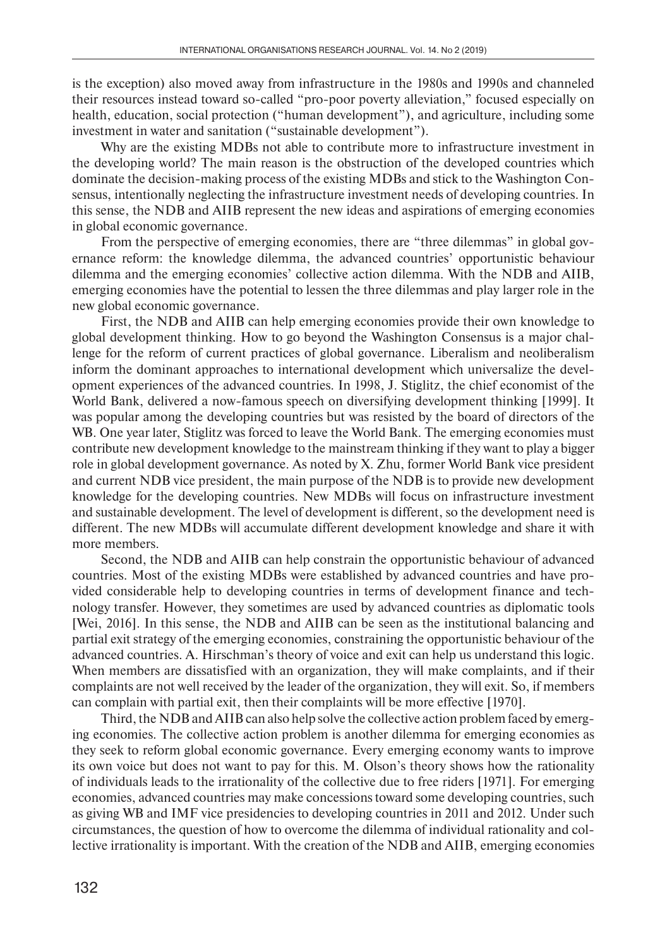is the exception) also moved away from infrastructure in the 1980s and 1990s and channeled their resources instead toward so-called "pro-poor poverty alleviation," focused especially on health, education, social protection ("human development"), and agriculture, including some investment in water and sanitation ("sustainable development").

Why are the existing MDBs not able to contribute more to infrastructure investment in the developing world? The main reason is the obstruction of the developed countries which dominate the decision-making process of the existing MDBs and stick to the Washington Consensus, intentionally neglecting the infrastructure investment needs of developing countries. In this sense, the NDB and AIIB represent the new ideas and aspirations of emerging economies in global economic governance.

From the perspective of emerging economies, there are "three dilemmas" in global governance reform: the knowledge dilemma, the advanced countries' opportunistic behaviour dilemma and the emerging economies' collective action dilemma. With the NDB and AIIB, emerging economies have the potential to lessen the three dilemmas and play larger role in the new global economic governance.

First, the NDB and AIIB can help emerging economies provide their own knowledge to global development thinking. How to go beyond the Washington Consensus is a major challenge for the reform of current practices of global governance. Liberalism and neoliberalism inform the dominant approaches to international development which universalize the development experiences of the advanced countries. In 1998, J. Stiglitz, the chief economist of the World Bank, delivered a now-famous speech on diversifying development thinking [1999]. It was popular among the developing countries but was resisted by the board of directors of the WB. One year later, Stiglitz was forced to leave the World Bank. The emerging economies must contribute new development knowledge to the mainstream thinking if they want to play a bigger role in global development governance. As noted by X. Zhu, former World Bank vice president and current NDB vice president, the main purpose of the NDB is to provide new development knowledge for the developing countries. New MDBs will focus on infrastructure investment and sustainable development. The level of development is different, so the development need is different. The new MDBs will accumulate different development knowledge and share it with more members.

Second, the NDB and AIIB can help constrain the opportunistic behaviour of advanced countries. Most of the existing MDBs were established by advanced countries and have provided considerable help to developing countries in terms of development finance and technology transfer. However, they sometimes are used by advanced countries as diplomatic tools [Wei, 2016]. In this sense, the NDB and AIIB can be seen as the institutional balancing and partial exit strategy of the emerging economies, constraining the opportunistic behaviour of the advanced countries. A. Hirschman's theory of voice and exit can help us understand this logic. When members are dissatisfied with an organization, they will make complaints, and if their complaints are not well received by the leader of the organization, they will exit. So, if members can complain with partial exit, then their complaints will be more effective [1970].

Third, the NDB and AIIB can also help solve the collective action problem faced by emerging economies. The collective action problem is another dilemma for emerging economies as they seek to reform global economic governance. Every emerging economy wants to improve its own voice but does not want to pay for this. M. Olson's theory shows how the rationality of individuals leads to the irrationality of the collective due to free riders [1971]. For emerging economies, advanced countries may make concessions toward some developing countries, such as giving WB and IMF vice presidencies to developing countries in 2011 and 2012. Under such circumstances, the question of how to overcome the dilemma of individual rationality and collective irrationality is important. With the creation of the NDB and AIIB, emerging economies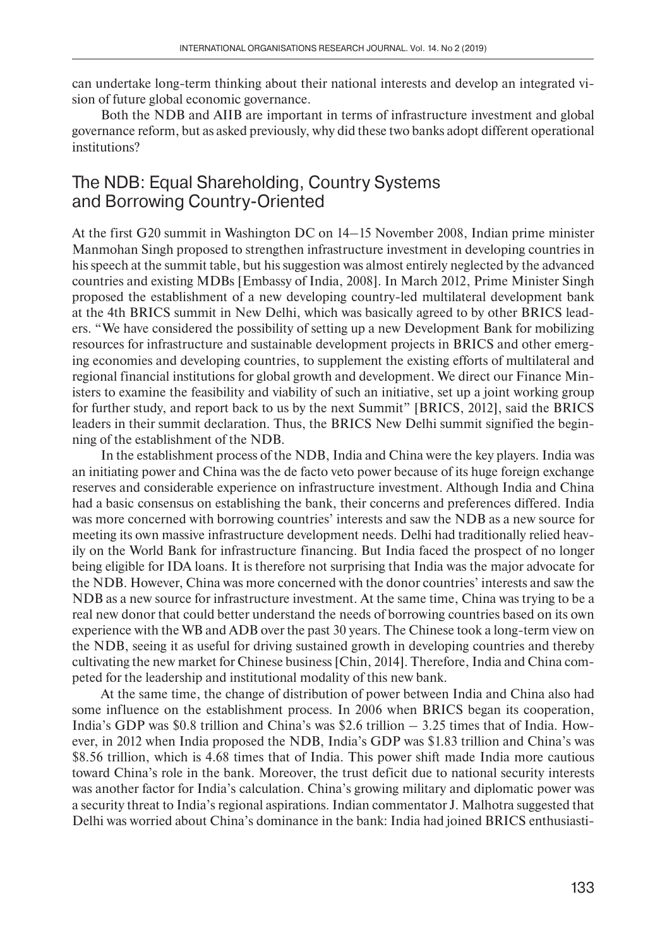can undertake long-term thinking about their national interests and develop an integrated vision of future global economic governance.

Both the NDB and AIIB are important in terms of infrastructure investment and global governance reform, but as asked previously, why did these two banks adopt different operational institutions?

### The NDB: Equal Shareholding, Country Systems and Borrowing Country-Oriented

At the first G20 summit in Washington DC on 14–15 November 2008, Indian prime minister Manmohan Singh proposed to strengthen infrastructure investment in developing countries in his speech at the summit table, but his suggestion was almost entirely neglected by the advanced countries and existing MDBs [Embassy of India, 2008]. In March 2012, Prime Minister Singh proposed the establishment of a new developing country-led multilateral development bank at the 4th BRICS summit in New Delhi, which was basically agreed to by other BRICS leaders. "We have considered the possibility of setting up a new Development Bank for mobilizing resources for infrastructure and sustainable development projects in BRICS and other emerging economies and developing countries, to supplement the existing efforts of multilateral and regional financial institutions for global growth and development. We direct our Finance Ministers to examine the feasibility and viability of such an initiative, set up a joint working group for further study, and report back to us by the next Summit" [BRICS, 2012], said the BRICS leaders in their summit declaration. Thus, the BRICS New Delhi summit signified the beginning of the establishment of the NDB.

In the establishment process of the NDB, India and China were the key players. India was an initiating power and China was the de facto veto power because of its huge foreign exchange reserves and considerable experience on infrastructure investment. Although India and China had a basic consensus on establishing the bank, their concerns and preferences differed. India was more concerned with borrowing countries' interests and saw the NDB as a new source for meeting its own massive infrastructure development needs. Delhi had traditionally relied heavily on the World Bank for infrastructure financing. But India faced the prospect of no longer being eligible for IDA loans. It is therefore not surprising that India was the major advocate for the NDB. However, China was more concerned with the donor countries' interests and saw the NDB as a new source for infrastructure investment. At the same time, China was trying to be a real new donor that could better understand the needs of borrowing countries based on its own experience with the WB and ADB over the past 30 years. The Chinese took a long-term view on the NDB, seeing it as useful for driving sustained growth in developing countries and thereby cultivating the new market for Chinese business [Chin, 2014]. Therefore, India and China competed for the leadership and institutional modality of this new bank.

At the same time, the change of distribution of power between India and China also had some influence on the establishment process. In 2006 when BRICS began its cooperation, India's GDP was \$0.8 trillion and China's was \$2.6 trillion – 3.25 times that of India. However, in 2012 when India proposed the NDB, India's GDP was \$1.83 trillion and China's was \$8.56 trillion, which is 4.68 times that of India. This power shift made India more cautious toward China's role in the bank. Moreover, the trust deficit due to national security interests was another factor for India's calculation. China's growing military and diplomatic power was a security threat to India's regional aspirations. Indian commentator J. Malhotra suggested that Delhi was worried about China's dominance in the bank: India had joined BRICS enthusiasti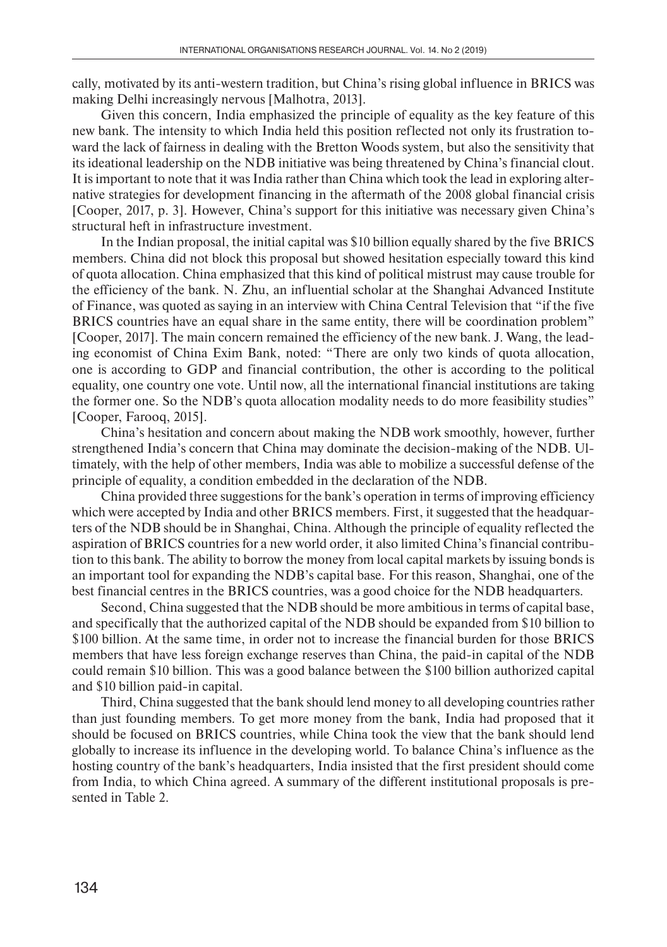cally, motivated by its anti-western tradition, but China's rising global influence in BRICS was making Delhi increasingly nervous [Malhotra, 2013].

Given this concern, India emphasized the principle of equality as the key feature of this new bank. The intensity to which India held this position reflected not only its frustration toward the lack of fairness in dealing with the Bretton Woods system, but also the sensitivity that its ideational leadership on the NDB initiative was being threatened by China's financial clout. It is important to note that it was India rather than China which took the lead in exploring alternative strategies for development financing in the aftermath of the 2008 global financial crisis [Cooper, 2017, p. 3]. However, China's support for this initiative was necessary given China's structural heft in infrastructure investment.

In the Indian proposal, the initial capital was \$10 billion equally shared by the five BRICS members. China did not block this proposal but showed hesitation especially toward this kind of quota allocation. China emphasized that this kind of political mistrust may cause trouble for the efficiency of the bank. N. Zhu, an influential scholar at the Shanghai Advanced Institute of Finance, was quoted as saying in an interview with China Central Television that "if the five BRICS countries have an equal share in the same entity, there will be coordination problem" [Cooper, 2017]. The main concern remained the efficiency of the new bank. J. Wang, the leading economist of China Exim Bank, noted: "There are only two kinds of quota allocation, one is according to GDP and financial contribution, the other is according to the political equality, one country one vote. Until now, all the international financial institutions are taking the former one. So the NDB's quota allocation modality needs to do more feasibility studies" [Cooper, Farooq, 2015].

China's hesitation and concern about making the NDB work smoothly, however, further strengthened India's concern that China may dominate the decision-making of the NDB. Ultimately, with the help of other members, India was able to mobilize a successful defense of the principle of equality, a condition embedded in the declaration of the NDB.

China provided three suggestions for the bank's operation in terms of improving efficiency which were accepted by India and other BRICS members. First, it suggested that the headquarters of the NDB should be in Shanghai, China. Although the principle of equality reflected the aspiration of BRICS countries for a new world order, it also limited China's financial contribution to this bank. The ability to borrow the money from local capital markets by issuing bonds is an important tool for expanding the NDB's capital base. For this reason, Shanghai, one of the best financial centres in the BRICS countries, was a good choice for the NDB headquarters.

Second, China suggested that the NDB should be more ambitious in terms of capital base, and specifically that the authorized capital of the NDB should be expanded from \$10 billion to \$100 billion. At the same time, in order not to increase the financial burden for those BRICS members that have less foreign exchange reserves than China, the paid-in capital of the NDB could remain \$10 billion. This was a good balance between the \$100 billion authorized capital and \$10 billion paid-in capital.

Third, China suggested that the bank should lend money to all developing countries rather than just founding members. To get more money from the bank, India had proposed that it should be focused on BRICS countries, while China took the view that the bank should lend globally to increase its influence in the developing world. To balance China's influence as the hosting country of the bank's headquarters, India insisted that the first president should come from India, to which China agreed. A summary of the different institutional proposals is presented in Table 2.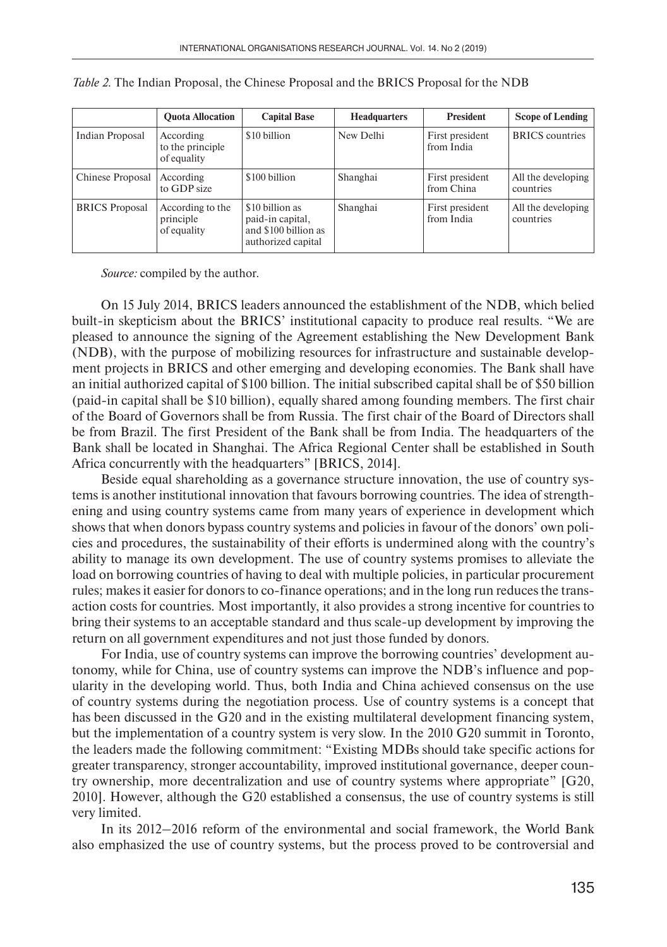|                       | <b>Ouota Allocation</b>                      | <b>Capital Base</b>                                                               | <b>Headquarters</b> | <b>President</b>              | <b>Scope of Lending</b>         |
|-----------------------|----------------------------------------------|-----------------------------------------------------------------------------------|---------------------|-------------------------------|---------------------------------|
| Indian Proposal       | According<br>to the principle<br>of equality | \$10 billion                                                                      | New Delhi           | First president<br>from India | <b>BRICS</b> countries          |
| Chinese Proposal      | According<br>to GDP size                     | \$100 billion                                                                     | Shanghai            | First president<br>from China | All the developing<br>countries |
| <b>BRICS</b> Proposal | According to the<br>principle<br>of equality | \$10 billion as<br>paid-in capital,<br>and \$100 billion as<br>authorized capital | Shanghai            | First president<br>from India | All the developing<br>countries |

*Source:* compiled by the author.

On 15 July 2014, BRICS leaders announced the establishment of the NDB, which belied built-in skepticism about the BRICS' institutional capacity to produce real results. "We are pleased to announce the signing of the Agreement establishing the New Development Bank (NDB), with the purpose of mobilizing resources for infrastructure and sustainable development projects in BRICS and other emerging and developing economies. The Bank shall have an initial authorized capital of \$100 billion. The initial subscribed capital shall be of \$50 billion (paid-in capital shall be \$10 billion), equally shared among founding members. The first chair of the Board of Governors shall be from Russia. The first chair of the Board of Directors shall be from Brazil. The first President of the Bank shall be from India. The headquarters of the Bank shall be located in Shanghai. The Africa Regional Center shall be established in South Africa concurrently with the headquarters" [BRICS, 2014].

Beside equal shareholding as a governance structure innovation, the use of country systems is another institutional innovation that favours borrowing countries. The idea of strengthening and using country systems came from many years of experience in development which shows that when donors bypass country systems and policies in favour of the donors' own policies and procedures, the sustainability of their efforts is undermined along with the country's ability to manage its own development. The use of country systems promises to alleviate the load on borrowing countries of having to deal with multiple policies, in particular procurement rules; makes it easier for donors to co-finance operations; and in the long run reduces the transaction costs for countries. Most importantly, it also provides a strong incentive for countries to bring their systems to an acceptable standard and thus scale-up development by improving the return on all government expenditures and not just those funded by donors.

For India, use of country systems can improve the borrowing countries' development autonomy, while for China, use of country systems can improve the NDB's influence and popularity in the developing world. Thus, both India and China achieved consensus on the use of country systems during the negotiation process. Use of country systems is a concept that has been discussed in the G20 and in the existing multilateral development financing system, but the implementation of a country system is very slow. In the 2010 G20 summit in Toronto, the leaders made the following commitment: "Existing MDBs should take specific actions for greater transparency, stronger accountability, improved institutional governance, deeper country ownership, more decentralization and use of country systems where appropriate" [G20, 2010]. However, although the G20 established a consensus, the use of country systems is still very limited.

In its 2012–2016 reform of the environmental and social framework, the World Bank also emphasized the use of country systems, but the process proved to be controversial and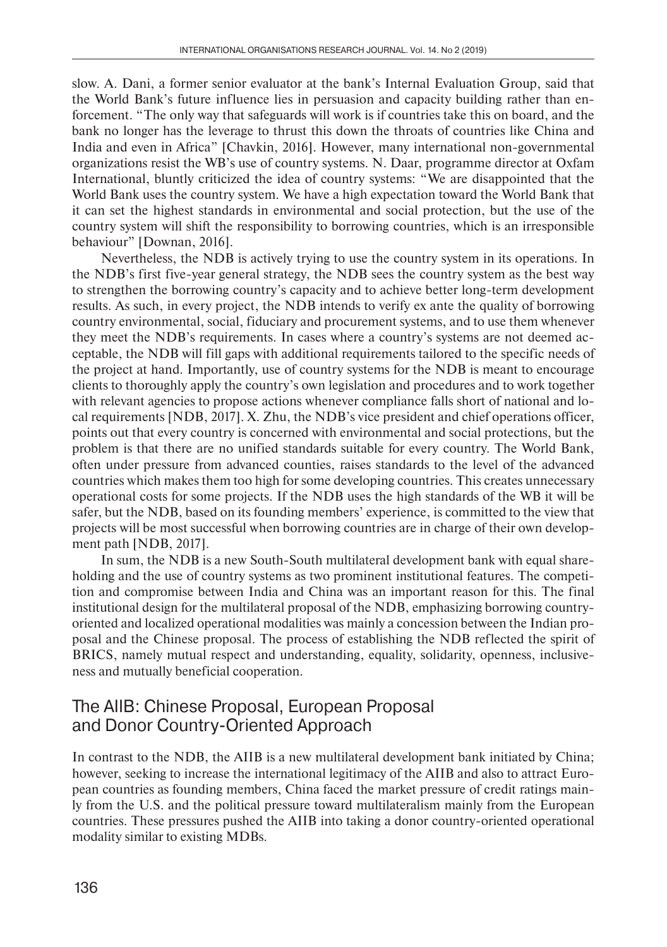slow. A. Dani, a former senior evaluator at the bank's Internal Evaluation Group, said that the World Bank's future influence lies in persuasion and capacity building rather than enforcement. "The only way that safeguards will work is if countries take this on board, and the bank no longer has the leverage to thrust this down the throats of countries like China and India and even in Africa" [Chavkin, 2016]. However, many international non-governmental organizations resist the WB's use of country systems. N. Daar, programme director at Oxfam International, bluntly criticized the idea of country systems: "We are disappointed that the World Bank uses the country system. We have a high expectation toward the World Bank that it can set the highest standards in environmental and social protection, but the use of the country system will shift the responsibility to borrowing countries, which is an irresponsible behaviour" [Downan, 2016].

Nevertheless, the NDB is actively trying to use the country system in its operations. In the NDB's first five-year general strategy, the NDB sees the country system as the best way to strengthen the borrowing country's capacity and to achieve better long-term development results. As such, in every project, the NDB intends to verify ex ante the quality of borrowing country environmental, social, fiduciary and procurement systems, and to use them whenever they meet the NDB's requirements. In cases where a country's systems are not deemed acceptable, the NDB will fill gaps with additional requirements tailored to the specific needs of the project at hand. Importantly, use of country systems for the NDB is meant to encourage clients to thoroughly apply the country's own legislation and procedures and to work together with relevant agencies to propose actions whenever compliance falls short of national and local requirements [NDB, 2017]. X. Zhu, the NDB's vice president and chief operations officer, points out that every country is concerned with environmental and social protections, but the problem is that there are no unified standards suitable for every country. The World Bank, often under pressure from advanced counties, raises standards to the level of the advanced countries which makes them too high for some developing countries. This creates unnecessary operational costs for some projects. If the NDB uses the high standards of the WB it will be safer, but the NDB, based on its founding members' experience, is committed to the view that projects will be most successful when borrowing countries are in charge of their own development path [NDB, 2017].

In sum, the NDB is a new South-South multilateral development bank with equal shareholding and the use of country systems as two prominent institutional features. The competition and compromise between India and China was an important reason for this. The final institutional design for the multilateral proposal of the NDB, emphasizing borrowing countryoriented and localized operational modalities was mainly a concession between the Indian proposal and the Chinese proposal. The process of establishing the NDB reflected the spirit of BRICS, namely mutual respect and understanding, equality, solidarity, openness, inclusiveness and mutually beneficial cooperation.

### The AIIB: Chinese Proposal, European Proposal and Donor Country-Oriented Approach

In contrast to the NDB, the AIIB is a new multilateral development bank initiated by China; however, seeking to increase the international legitimacy of the AIIB and also to attract European countries as founding members, China faced the market pressure of credit ratings mainly from the U.S. and the political pressure toward multilateralism mainly from the European countries. These pressures pushed the AIIB into taking a donor country-oriented operational modality similar to existing MDBs.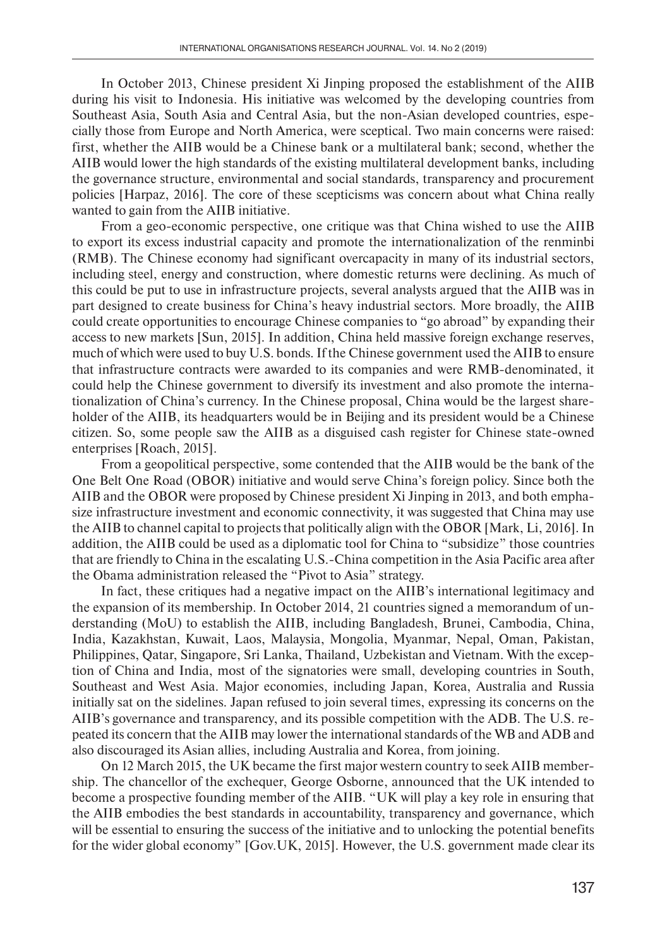In October 2013, Chinese president Xi Jinping proposed the establishment of the AIIB during his visit to Indonesia. His initiative was welcomed by the developing countries from Southeast Asia, South Asia and Central Asia, but the non-Asian developed countries, especially those from Europe and North America, were sceptical. Two main concerns were raised: first, whether the AIIB would be a Chinese bank or a multilateral bank; second, whether the AIIB would lower the high standards of the existing multilateral development banks, including the governance structure, environmental and social standards, transparency and procurement policies [Harpaz, 2016]. The core of these scepticisms was concern about what China really wanted to gain from the AIIB initiative.

From a geo-economic perspective, one critique was that China wished to use the AIIB to export its excess industrial capacity and promote the internationalization of the renminbi (RMB). The Chinese economy had significant overcapacity in many of its industrial sectors, including steel, energy and construction, where domestic returns were declining. As much of this could be put to use in infrastructure projects, several analysts argued that the AIIB was in part designed to create business for China's heavy industrial sectors. More broadly, the AIIB could create opportunities to encourage Chinese companies to "go abroad" by expanding their access to new markets [Sun, 2015]. In addition, China held massive foreign exchange reserves, much of which were used to buy U.S. bonds. If the Chinese government used the AIIB to ensure that infrastructure contracts were awarded to its companies and were RMB-denominated, it could help the Chinese government to diversify its investment and also promote the internationalization of China's currency. In the Chinese proposal, China would be the largest shareholder of the AIIB, its headquarters would be in Beijing and its president would be a Chinese citizen. So, some people saw the AIIB as a disguised cash register for Chinese state-owned enterprises [Roach, 2015].

From a geopolitical perspective, some contended that the AIIB would be the bank of the One Belt One Road (OBOR) initiative and would serve China's foreign policy. Since both the AIIB and the OBOR were proposed by Chinese president Xi Jinping in 2013, and both emphasize infrastructure investment and economic connectivity, it was suggested that China may use the AIIB to channel capital to projects that politically align with the OBOR [Mark, Li, 2016]. In addition, the AIIB could be used as a diplomatic tool for China to "subsidize" those countries that are friendly to China in the escalating U.S.-China competition in the Asia Pacific area after the Obama administration released the "Pivot to Asia" strategy.

In fact, these critiques had a negative impact on the AIIB's international legitimacy and the expansion of its membership. In October 2014, 21 countries signed a memorandum of understanding (MoU) to establish the AIIB, including Bangladesh, Brunei, Cambodia, China, India, Kazakhstan, Kuwait, Laos, Malaysia, Mongolia, Myanmar, Nepal, Oman, Pakistan, Philippines, Qatar, Singapore, Sri Lanka, Thailand, Uzbekistan and Vietnam. With the exception of China and India, most of the signatories were small, developing countries in South, Southeast and West Asia. Major economies, including Japan, Korea, Australia and Russia initially sat on the sidelines. Japan refused to join several times, expressing its concerns on the AIIB's governance and transparency, and its possible competition with the ADB. The U.S. repeated its concern that the AIIB may lower the international standards of the WB and ADB and also discouraged its Asian allies, including Australia and Korea, from joining.

On 12 March 2015, the UK became the first major western country to seek AIIB membership. The chancellor of the exchequer, George Osborne, announced that the UK intended to become a prospective founding member of the AIIB. "UK will play a key role in ensuring that the AIIB embodies the best standards in accountability, transparency and governance, which will be essential to ensuring the success of the initiative and to unlocking the potential benefits for the wider global economy" [Gov.UK, 2015]. However, the U.S. government made clear its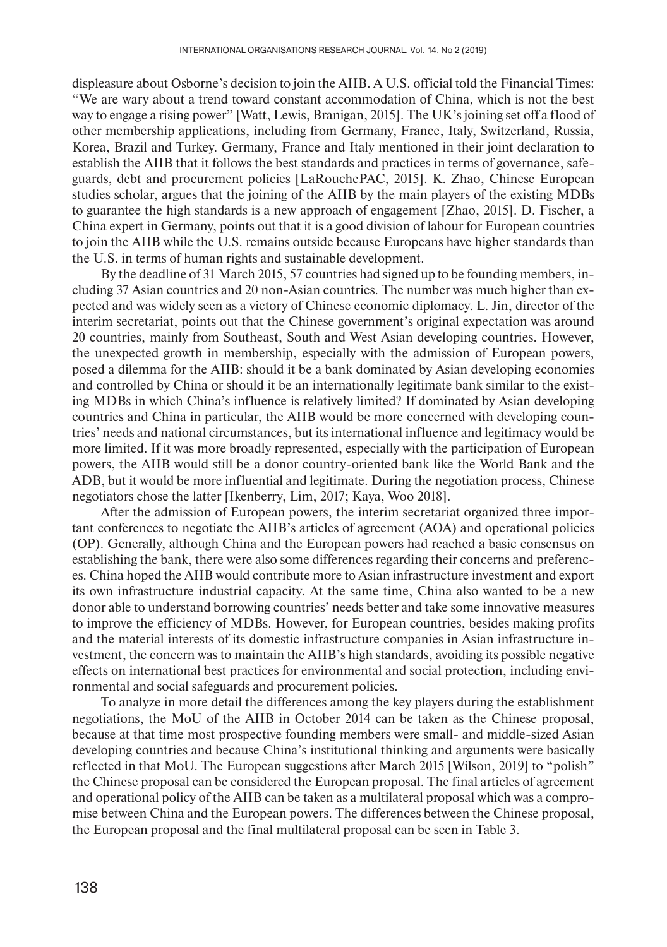displeasure about Osborne's decision to join the AIIB. A U.S. official told the Financial Times: "We are wary about a trend toward constant accommodation of China, which is not the best way to engage a rising power" [Watt, Lewis, Branigan, 2015]. The UK's joining set off a flood of other membership applications, including from Germany, France, Italy, Switzerland, Russia, Korea, Brazil and Turkey. Germany, France and Italy mentioned in their joint declaration to establish the AIIB that it follows the best standards and practices in terms of governance, safeguards, debt and procurement policies [LaRouchePAC, 2015]. K. Zhao, Chinese European studies scholar, argues that the joining of the AIIB by the main players of the existing MDBs to guarantee the high standards is a new approach of engagement [Zhao, 2015]. D. Fischer, a China expert in Germany, points out that it is a good division of labour for European countries to join the AIIB while the U.S. remains outside because Europeans have higher standards than the U.S. in terms of human rights and sustainable development.

By the deadline of 31 March 2015, 57 countries had signed up to be founding members, including 37 Asian countries and 20 non-Asian countries. The number was much higher than expected and was widely seen as a victory of Chinese economic diplomacy. L. Jin, director of the interim secretariat, points out that the Chinese government's original expectation was around 20 countries, mainly from Southeast, South and West Asian developing countries. However, the unexpected growth in membership, especially with the admission of European powers, posed a dilemma for the AIIB: should it be a bank dominated by Asian developing economies and controlled by China or should it be an internationally legitimate bank similar to the existing MDBs in which China's influence is relatively limited? If dominated by Asian developing countries and China in particular, the AIIB would be more concerned with developing countries' needs and national circumstances, but its international influence and legitimacy would be more limited. If it was more broadly represented, especially with the participation of European powers, the AIIB would still be a donor country-oriented bank like the World Bank and the ADB, but it would be more influential and legitimate. During the negotiation process, Chinese negotiators chose the latter [Ikenberry, Lim, 2017; Kaya, Woo 2018].

After the admission of European powers, the interim secretariat organized three important conferences to negotiate the AIIB's articles of agreement (AOA) and operational policies (OP). Generally, although China and the European powers had reached a basic consensus on establishing the bank, there were also some differences regarding their concerns and preferences. China hoped the AIIB would contribute more to Asian infrastructure investment and export its own infrastructure industrial capacity. At the same time, China also wanted to be a new donor able to understand borrowing countries' needs better and take some innovative measures to improve the efficiency of MDBs. However, for European countries, besides making profits and the material interests of its domestic infrastructure companies in Asian infrastructure investment, the concern was to maintain the AIIB's high standards, avoiding its possible negative effects on international best practices for environmental and social protection, including environmental and social safeguards and procurement policies.

To analyze in more detail the differences among the key players during the establishment negotiations, the MoU of the AIIB in October 2014 can be taken as the Chinese proposal, because at that time most prospective founding members were small- and middle-sized Asian developing countries and because China's institutional thinking and arguments were basically reflected in that MoU. The European suggestions after March 2015 [Wilson, 2019] to "polish" the Chinese proposal can be considered the European proposal. The final articles of agreement and operational policy of the AIIB can be taken as a multilateral proposal which was a compromise between China and the European powers. The differences between the Chinese proposal, the European proposal and the final multilateral proposal can be seen in Table 3.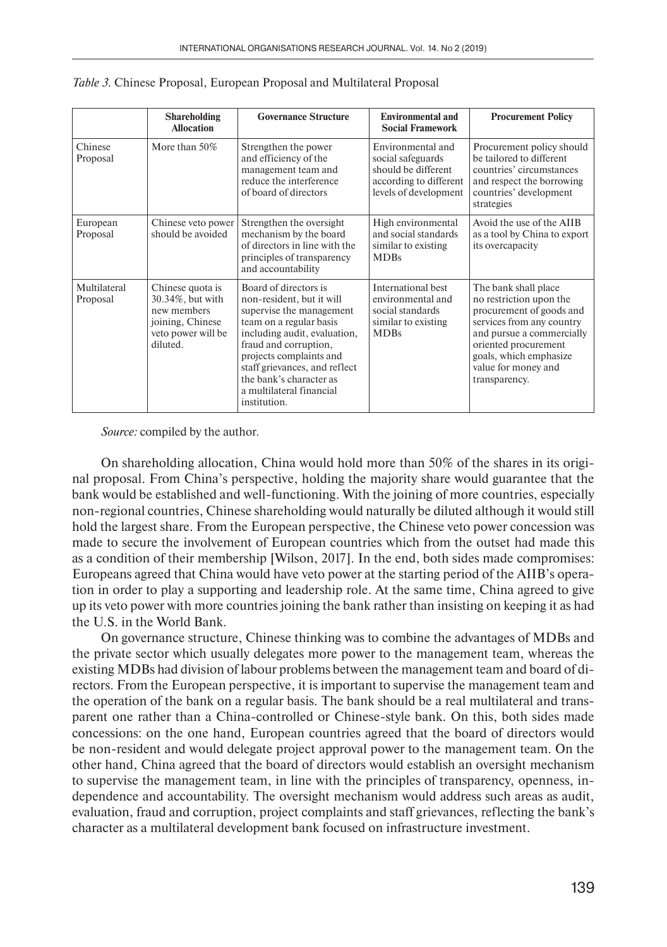|                          | <b>Shareholding</b><br><b>Allocation</b>                                                                  | <b>Governance Structure</b>                                                                                                                                                                                                                                                                           | <b>Environmental and</b><br><b>Social Framework</b>                                                              | <b>Procurement Policy</b>                                                                                                                                                                                                       |
|--------------------------|-----------------------------------------------------------------------------------------------------------|-------------------------------------------------------------------------------------------------------------------------------------------------------------------------------------------------------------------------------------------------------------------------------------------------------|------------------------------------------------------------------------------------------------------------------|---------------------------------------------------------------------------------------------------------------------------------------------------------------------------------------------------------------------------------|
| Chinese<br>Proposal      | More than 50%                                                                                             | Strengthen the power<br>and efficiency of the<br>management team and<br>reduce the interference<br>of board of directors                                                                                                                                                                              | Environmental and<br>social safeguards<br>should be different<br>according to different<br>levels of development | Procurement policy should<br>be tailored to different<br>countries' circumstances<br>and respect the borrowing<br>countries' development<br>strategies                                                                          |
| European<br>Proposal     | Chinese veto power<br>should be avoided                                                                   | Strengthen the oversight<br>mechanism by the board<br>of directors in line with the<br>principles of transparency<br>and accountability                                                                                                                                                               | High environmental<br>and social standards<br>similar to existing<br><b>MDBs</b>                                 | Avoid the use of the AIIB<br>as a tool by China to export<br>its overcapacity                                                                                                                                                   |
| Multilateral<br>Proposal | Chinese quota is<br>30.34%, but with<br>new members<br>joining, Chinese<br>veto power will be<br>diluted. | Board of directors is<br>non-resident, but it will<br>supervise the management<br>team on a regular basis<br>including audit, evaluation,<br>fraud and corruption,<br>projects complaints and<br>staff grievances, and reflect<br>the bank's character as<br>a multilateral financial<br>institution. | International best<br>environmental and<br>social standards<br>similar to existing<br><b>MDBs</b>                | The bank shall place<br>no restriction upon the<br>procurement of goods and<br>services from any country<br>and pursue a commercially<br>oriented procurement<br>goals, which emphasize<br>value for money and<br>transparency. |

|  |  |  |  | Table 3. Chinese Proposal, European Proposal and Multilateral Proposal |  |  |
|--|--|--|--|------------------------------------------------------------------------|--|--|
|--|--|--|--|------------------------------------------------------------------------|--|--|

*Source:* compiled by the author.

On shareholding allocation, China would hold more than 50% of the shares in its original proposal. From China's perspective, holding the majority share would guarantee that the bank would be established and well-functioning. With the joining of more countries, especially non-regional countries, Chinese shareholding would naturally be diluted although it would still hold the largest share. From the European perspective, the Chinese veto power concession was made to secure the involvement of European countries which from the outset had made this as a condition of their membership [Wilson, 2017]. In the end, both sides made compromises: Europeans agreed that China would have veto power at the starting period of the AIIB's operation in order to play a supporting and leadership role. At the same time, China agreed to give up its veto power with more countries joining the bank rather than insisting on keeping it as had the U.S. in the World Bank.

On governance structure, Chinese thinking was to combine the advantages of MDBs and the private sector which usually delegates more power to the management team, whereas the existing MDBs had division of labour problems between the management team and board of directors. From the European perspective, it is important to supervise the management team and the operation of the bank on a regular basis. The bank should be a real multilateral and transparent one rather than a China-controlled or Chinese-style bank. On this, both sides made concessions: on the one hand, European countries agreed that the board of directors would be non-resident and would delegate project approval power to the management team. On the other hand, China agreed that the board of directors would establish an oversight mechanism to supervise the management team, in line with the principles of transparency, openness, independence and accountability. The oversight mechanism would address such areas as audit, evaluation, fraud and corruption, project complaints and staff grievances, reflecting the bank's character as a multilateral development bank focused on infrastructure investment.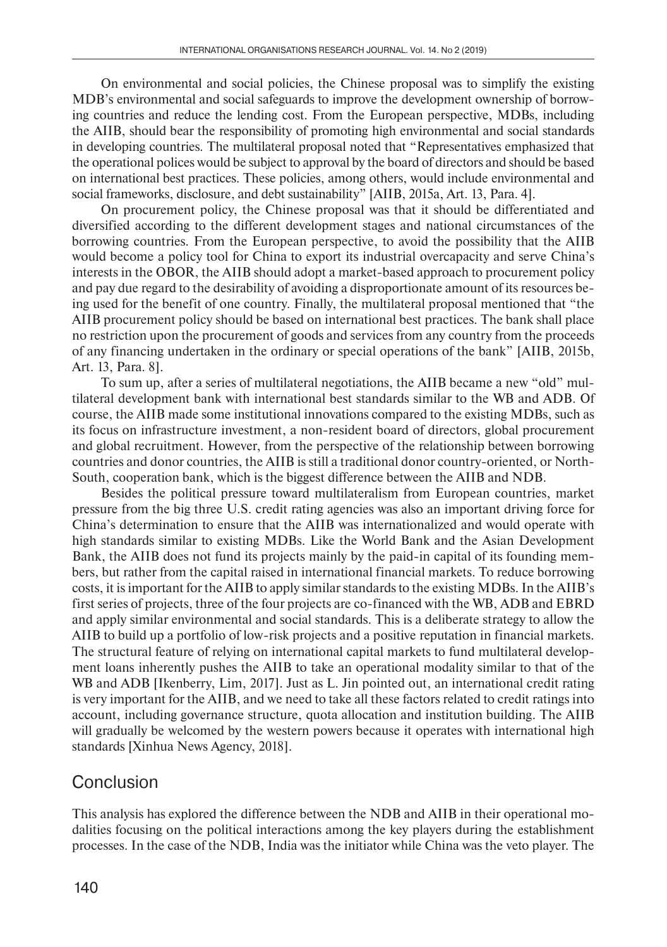On environmental and social policies, the Chinese proposal was to simplify the existing MDB's environmental and social safeguards to improve the development ownership of borrowing countries and reduce the lending cost. From the European perspective, MDBs, including the AIIB, should bear the responsibility of promoting high environmental and social standards in developing countries. The multilateral proposal noted that "Representatives emphasized that the operational polices would be subject to approval by the board of directors and should be based on international best practices. These policies, among others, would include environmental and social frameworks, disclosure, and debt sustainability" [AIIB, 2015a, Art. 13, Para. 4].

On procurement policy, the Chinese proposal was that it should be differentiated and diversified according to the different development stages and national circumstances of the borrowing countries. From the European perspective, to avoid the possibility that the AIIB would become a policy tool for China to export its industrial overcapacity and serve China's interests in the OBOR, the AIIB should adopt a market-based approach to procurement policy and pay due regard to the desirability of avoiding a disproportionate amount of its resources being used for the benefit of one country. Finally, the multilateral proposal mentioned that "the AIIB procurement policy should be based on international best practices. The bank shall place no restriction upon the procurement of goods and services from any country from the proceeds of any financing undertaken in the ordinary or special operations of the bank" [AIIB, 2015b, Art. 13, Para. 8].

To sum up, after a series of multilateral negotiations, the AIIB became a new "old" multilateral development bank with international best standards similar to the WB and ADB. Of course, the AIIB made some institutional innovations compared to the existing MDBs, such as its focus on infrastructure investment, a non-resident board of directors, global procurement and global recruitment. However, from the perspective of the relationship between borrowing countries and donor countries, the AIIB is still a traditional donor country-oriented, or North-South, cooperation bank, which is the biggest difference between the AIIB and NDB.

Besides the political pressure toward multilateralism from European countries, market pressure from the big three U.S. credit rating agencies was also an important driving force for China's determination to ensure that the AIIB was internationalized and would operate with high standards similar to existing MDBs. Like the World Bank and the Asian Development Bank, the AIIB does not fund its projects mainly by the paid-in capital of its founding members, but rather from the capital raised in international financial markets. To reduce borrowing costs, it is important for the AIIB to apply similar standards to the existing MDBs. In the AIIB's first series of projects, three of the four projects are co-financed with the WB, ADB and EBRD and apply similar environmental and social standards. This is a deliberate strategy to allow the AIIB to build up a portfolio of low-risk projects and a positive reputation in financial markets. The structural feature of relying on international capital markets to fund multilateral development loans inherently pushes the AIIB to take an operational modality similar to that of the WB and ADB [Ikenberry, Lim, 2017]. Just as L. Jin pointed out, an international credit rating is very important for the AIIB, and we need to take all these factors related to credit ratings into account, including governance structure, quota allocation and institution building. The AIIB will gradually be welcomed by the western powers because it operates with international high standards [Xinhua News Agency, 2018].

#### Conclusion

This analysis has explored the difference between the NDB and AIIB in their operational modalities focusing on the political interactions among the key players during the establishment processes. In the case of the NDB, India was the initiator while China was the veto player. The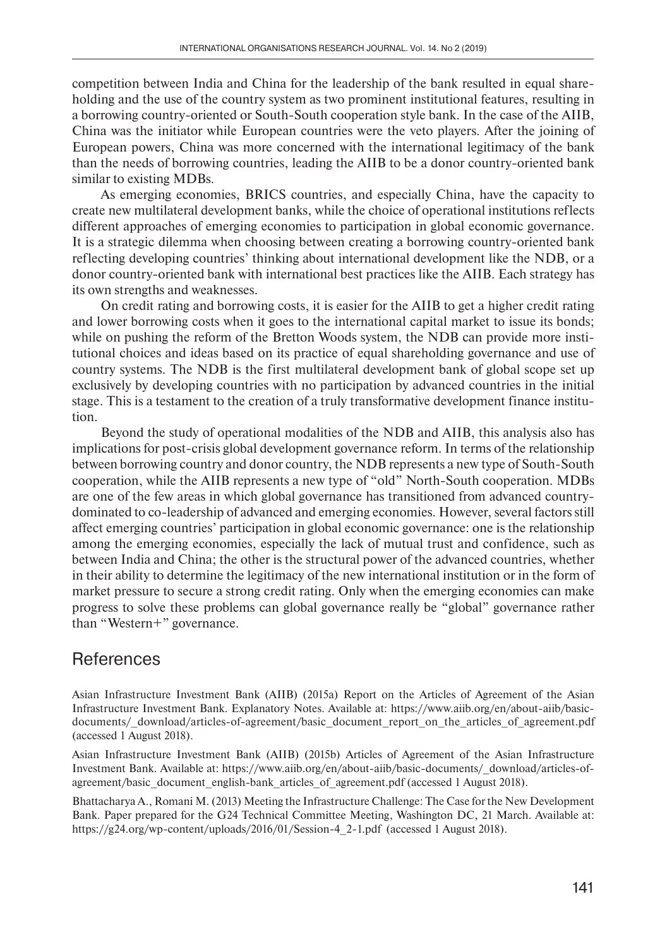competition between India and China for the leadership of the bank resulted in equal shareholding and the use of the country system as two prominent institutional features, resulting in a borrowing country-oriented or South-South cooperation style bank. In the case of the AIIB, China was the initiator while European countries were the veto players. After the joining of European powers, China was more concerned with the international legitimacy of the bank than the needs of borrowing countries, leading the AIIB to be a donor country-oriented bank similar to existing MDBs.

As emerging economies, BRICS countries, and especially China, have the capacity to create new multilateral development banks, while the choice of operational institutions reflects different approaches of emerging economies to participation in global economic governance. It is a strategic dilemma when choosing between creating a borrowing country-oriented bank reflecting developing countries' thinking about international development like the NDB, or a donor country-oriented bank with international best practices like the AIIB. Each strategy has its own strengths and weaknesses.

On credit rating and borrowing costs, it is easier for the AIIB to get a higher credit rating and lower borrowing costs when it goes to the international capital market to issue its bonds; while on pushing the reform of the Bretton Woods system, the NDB can provide more institutional choices and ideas based on its practice of equal shareholding governance and use of country systems. The NDB is the first multilateral development bank of global scope set up exclusively by developing countries with no participation by advanced countries in the initial stage. This is a testament to the creation of a truly transformative development finance institution.

Beyond the study of operational modalities of the NDB and AIIB, this analysis also has implications for post-crisis global development governance reform. In terms of the relationship between borrowing country and donor country, the NDB represents a new type of South-South cooperation, while the AIIB represents a new type of "old" North-South cooperation. MDBs are one of the few areas in which global governance has transitioned from advanced countrydominated to co-leadership of advanced and emerging economies. However, several factors still affect emerging countries' participation in global economic governance: one is the relationship among the emerging economies, especially the lack of mutual trust and confidence, such as between India and China; the other is the structural power of the advanced countries, whether in their ability to determine the legitimacy of the new international institution or in the form of market pressure to secure a strong credit rating. Only when the emerging economies can make progress to solve these problems can global governance really be "global" governance rather than "Western+" governance.

# References

Asian Infrastructure Investment Bank (AIIB) (2015a) Report on the Articles of Agreement of the Asian Infrastructure Investment Bank. Explanatory Notes. Available at: https://www.aiib.org/en/about-aiib/basicdocuments/\_download/articles-of-agreement/basic\_document\_report\_on\_the\_articles\_of\_agreement.pdf (accessed 1 August 2018).

Asian Infrastructure Investment Bank (AIIB) (2015b) Articles of Agreement of the Asian Infrastructure Investment Bank. Available at: https://www.aiib.org/en/about-aiib/basic-documents/\_download/articles-ofagreement/basic\_document\_english-bank\_articles\_of\_agreement.pdf (accessed 1 August 2018).

Bhattacharya A., Romani M. (2013) Meeting the Infrastructure Challenge: The Case for the New Development Bank. Paper prepared for the G24 Technical Committee Meeting, Washington DC, 21 March. Available at: https://g24.org/wp-content/uploads/2016/01/Session-4\_2-1.pdf (accessed 1 August 2018).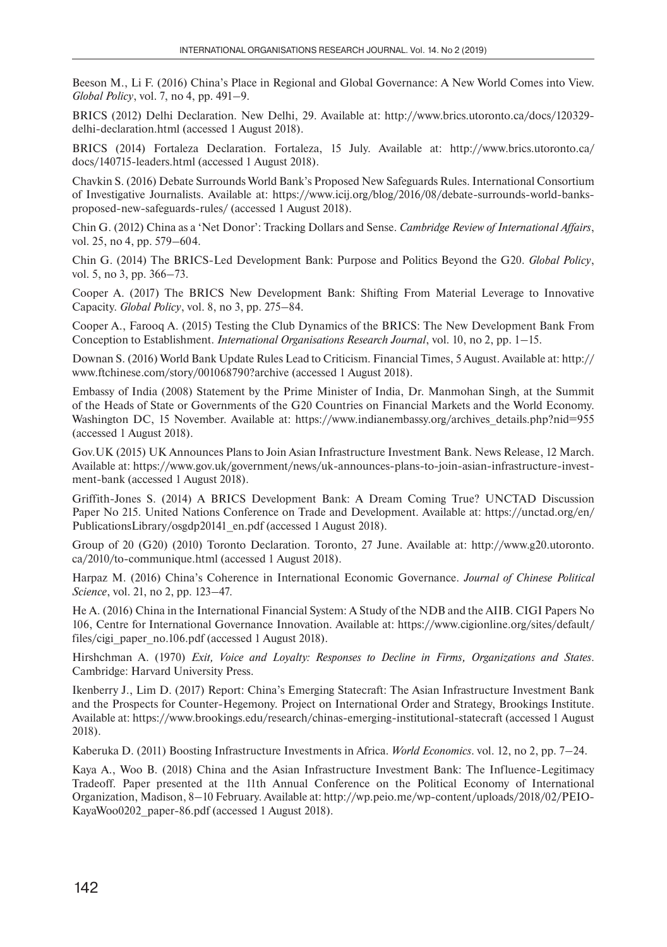Beeson M., Li F. (2016) China's Place in Regional and Global Governance: A New World Comes into View. *Global Policy*, vol. 7, no 4, pp. 491–9.

BRICS (2012) Delhi Declaration. New Delhi, 29. Available at: http://www.brics.utoronto.ca/docs/120329delhi-declaration.html (accessed 1 August 2018).

BRICS (2014) Fortaleza Declaration. Fortaleza, 15 July. Available at: http://www.brics.utoronto.ca/ docs/140715-leaders.html (accessed 1 August 2018).

Chavkin S. (2016) Debate Surrounds World Bank's Proposed New Safeguards Rules. International Consortium of Investigative Journalists. Available at: https://www.icij.org/blog/2016/08/debate-surrounds-world-banksproposed-new-safeguards-rules/ (accessed 1 August 2018).

Chin G. (2012) China as a 'Net Donor': Tracking Dollars and Sense. *Cambridge Review of International Affairs*, vol. 25, no 4, pp. 579–604.

Chin G. (2014) The BRICS-Led Development Bank: Purpose and Politics Beyond the G20. *Global Policy*, vol. 5, no 3, pp. 366–73.

Cooper A. (2017) The BRICS New Development Bank: Shifting From Material Leverage to Innovative Capacity. *Global Policy*, vol. 8, no 3, pp. 275–84.

Cooper A., Farooq A. (2015) Testing the Club Dynamics of the BRICS: The New Development Bank From Conception to Establishment. *International Organisations Research Journal*, vol. 10, no 2, pp. 1–15.

Downan S. (2016) World Bank Update Rules Lead to Criticism. Financial Times, 5 August. Available at: http:// www.ftchinese.com/story/001068790?archive (accessed 1 August 2018).

Embassy of India (2008) Statement by the Prime Minister of India, Dr. Manmohan Singh, at the Summit of the Heads of State or Governments of the G20 Countries on Financial Markets and the World Economy. Washington DC, 15 November. Available at: https://www.indianembassy.org/archives\_details.php?nid=955 (accessed 1 August 2018).

Gov.UK (2015) UK Announces Plans to Join Asian Infrastructure Investment Bank. News Release, 12 March. Available at: https://www.gov.uk/government/news/uk-announces-plans-to-join-asian-infrastructure-investment-bank (accessed 1 August 2018).

Griffith-Jones S. (2014) A BRICS Development Bank: A Dream Coming True? UNCTAD Discussion Paper No 215. United Nations Conference on Trade and Development. Available at: https://unctad.org/en/ PublicationsLibrary/osgdp20141\_en.pdf (accessed 1 August 2018).

Group of 20 (G20) (2010) Toronto Declaration. Toronto, 27 June. Available at: http://www.g20.utoronto. ca/2010/to-communique.html (accessed 1 August 2018).

Harpaz M. (2016) China's Coherence in International Economic Governance. *Journal of Chinese Political Science*, vol. 21, no 2, pp. 123–47.

He A. (2016) China in the International Financial System: A Study of the NDB and the AIIB. CIGI Papers No 106, Centre for International Governance Innovation. Available at: https://www.cigionline.org/sites/default/ files/cigi\_paper\_no.106.pdf (accessed 1 August 2018).

Hirshchman A. (1970) *Exit, Voice and Loyalty: Responses to Decline in Firms, Organizations and States*. Cambridge: Harvard University Press.

Ikenberry J., Lim D. (2017) Report: China's Emerging Statecraft: The Asian Infrastructure Investment Bank and the Prospects for Counter-Hegemony. Project on International Order and Strategy, Brookings Institute. Available at: https://www.brookings.edu/research/chinas-emerging-institutional-statecraft (accessed 1 August 2018).

Kaberuka D. (2011) Boosting Infrastructure Investments in Africa. *World Economics*. vol. 12, no 2, pp. 7–24.

Kaya A., Woo B. (2018) China and the Asian Infrastructure Investment Bank: The Influence-Legitimacy Tradeoff. Paper presented at the 11th Annual Conference on the Political Economy of International Organization, Madison, 8–10 February. Available at: http://wp.peio.me/wp-content/uploads/2018/02/PEIO-KayaWoo0202 paper-86.pdf (accessed 1 August 2018).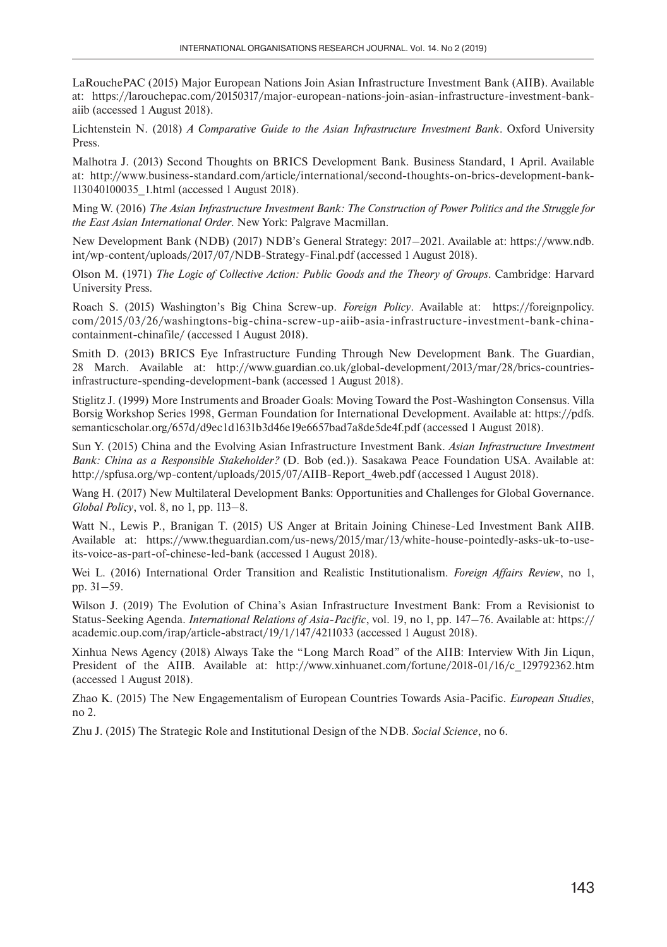LaRouchePAC (2015) Major European Nations Join Asian Infrastructure Investment Bank (AIIB). Available at: https://larouchepac.com/20150317/major-european-nations-join-asian-infrastructure-investment-bankaiib (accessed 1 August 2018).

Lichtenstein N. (2018) *A Comparative Guide to the Asian Infrastructure Investment Bank*. Oxford University Press.

Malhotra J. (2013) Second Thoughts on BRICS Development Bank. Business Standard, 1 April. Available at: http://www.business-standard.com/article/international/second-thoughts-on-brics-development-bank-113040100035\_1.html (accessed 1 August 2018).

Ming W. (2016) *The Asian Infrastructure Investment Bank: The Construction of Power Politics and the Struggle for the East Asian International Order*. New York: Palgrave Macmillan.

New Development Bank (NDB) (2017) NDB's General Strategy: 2017–2021. Available at: https://www.ndb. int/wp-content/uploads/2017/07/NDB-Strategy-Final.pdf (accessed 1 August 2018).

Olson M. (1971) *The Logic of Collective Action: Public Goods and the Theory of Groups*. Cambridge: Harvard University Press.

Roach S. (2015) Washington's Big China Screw-up. *Foreign Policy*. Available at: https://foreignpolicy. com/2015/03/26/washingtons-big-china-screw-up-aiib-asia-infrastructure-investment-bank-chinacontainment-chinafile/ (accessed 1 August 2018).

Smith D. (2013) BRICS Eye Infrastructure Funding Through New Development Bank. The Guardian, 28 March. Available at: http://www.guardian.co.uk/global-development/2013/mar/28/brics-countriesinfrastructure-spending-development-bank (accessed 1 August 2018).

Stiglitz J. (1999) More Instruments and Broader Goals: Moving Toward the Post-Washington Consensus. Villa Borsig Workshop Series 1998, German Foundation for International Development. Available at: https://pdfs. semanticscholar.org/657d/d9ec1d1631b3d46e19e6657bad7a8de5de4f.pdf (accessed 1 August 2018).

Sun Y. (2015) China and the Evolving Asian Infrastructure Investment Bank. *Asian Infrastructure Investment Bank: China as a Responsible Stakeholder?* (D. Bob (ed.)). Sasakawa Peace Foundation USA. Available at: http://spfusa.org/wp-content/uploads/2015/07/AIIB-Report\_4web.pdf (accessed 1 August 2018).

Wang H. (2017) New Multilateral Development Banks: Opportunities and Challenges for Global Governance. *Global Policy*, vol. 8, no 1, pp. 113–8.

Watt N., Lewis P., Branigan T. (2015) US Anger at Britain Joining Chinese-Led Investment Bank AIIB. Available at: https://www.theguardian.com/us-news/2015/mar/13/white-house-pointedly-asks-uk-to-useits-voice-as-part-of-chinese-led-bank (accessed 1 August 2018).

Wei L. (2016) International Order Transition and Realistic Institutionalism. *Foreign Affairs Review*, no 1, pp. 31–59.

Wilson J. (2019) The Evolution of China's Asian Infrastructure Investment Bank: From a Revisionist to Status-Seeking Agenda. *International Relations of Asia-Pacific*, vol. 19, no 1, pp. 147–76. Available at: https:// academic.oup.com/irap/article-abstract/19/1/147/4211033 (accessed 1 August 2018).

Xinhua News Agency (2018) Always Take the "Long March Road" of the AIIB: Interview With Jin Liqun, President of the AIIB. Available at: http://www.xinhuanet.com/fortune/2018-01/16/c\_129792362.htm (accessed 1 August 2018).

Zhao K. (2015) The New Engagementalism of European Countries Towards Asia-Pacific. *European Studies*, no 2.

Zhu J. (2015) The Strategic Role and Institutional Design of the NDB. *Social Science*, no 6.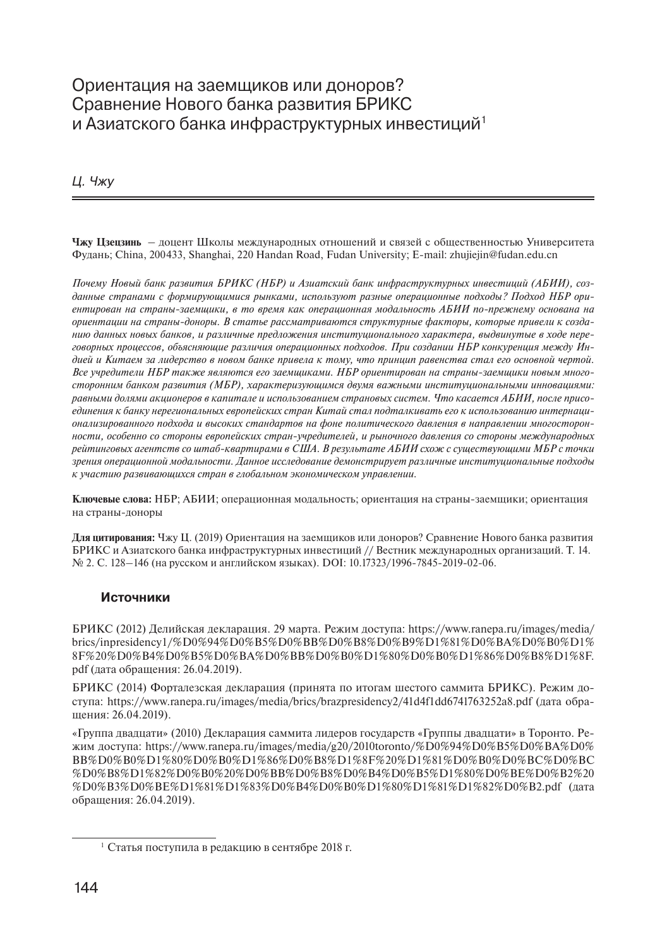### Ориентация на заемщиков или доноров? Сравнение Нового банка развития БРИКС и Азиатского банка инфраструктурных инвестиций<sup>1</sup>

*Ц. Чжу*

**Чжу Цзецзинь** – доцент Школы международных отношений и связей с общественностью Университета Фудань; China, 200433, Shanghai, 220 Handan Road, Fudan University; E-mail: zhujiejin@fudan.edu.cn

*Почему Новый банк развития БРИКС (НБР) и Азиатский банк инфраструктурных инвестиций (АБИИ), созданные странами с формирующимися рынками, используют разные операционные подходы? Подход НБР ориентирован на страны-заемщики, в то время как операционная модальность АБИИ по-прежнему основана на ориентации на страны-доноры. В статье рассматриваются структурные факторы, которые привели к созданию данных новых банков, и различные предложения институционального характера, выдвинутые в ходе переговорных процессов, объясняющие различия операционных подходов. При создании НБР конкуренция между Индией и Китаем за лидерство в новом банке привела к тому, что принцип равенства стал его основной чертой. Все учредители НБР также являются его заемщиками. НБР ориентирован на страны-заемщики новым многосторонним банком развития (МБР), характеризующимся двумя важными институциональными инновациями: равными долями акционеров в капитале и использованием страновых систем. Что касается АБИИ, после присоединения к банку нерегиональных европейских стран Китай стал подталкивать его к использованию интернационализированного подхода и высоких стандартов на фоне политического давления в направлении многосторонности, особенно со стороны европейских стран-учредителей, и рыночного давления со стороны международных рейтинговых агентств со штаб-квартирами в США. В результате АБИИ схож с существующими МБР с точки зрения операционной модальности. Данное исследование демонстрирует различные институциональные подходы к участию развивающихся стран в глобальном экономическом управлении.*

**Ключевые слова:** НБР; АБИИ; операционная модальность; ориентация на страны-заемщики; ориентация на страны-доноры

**Для цитирования:** Чжу Ц. (2019) Ориентация на заемщиков или доноров? Сравнение Нового банка развития БРИКС и Азиатского банка инфраструктурных инвестиций // Вестник международных организаций. Т. 14. № 2. С. 128–146 (на русском и английском языках). DOI: 10.17323/1996-7845-2019-02-06.

#### **Источники**

БРИКС (2012) Делийская декларация. 29 марта. Режим доступа: https://www.ranepa.ru/images/media/ brics/inpresidency1/%D0%94%D0%B5%D0%BB%D0%B8%D0%B9%D1%81%D0%BA%D0%B0%D1% 8F%20%D0%B4%D0%B5%D0%BA%D0%BB%D0%B0%D1%80%D0%B0%D1%86%D0%B8%D1%8F. pdf (дата обращения: 26.04.2019).

БРИКС (2014) Форталезская декларация (принята по итогам шестого саммита БРИКС). Режим доступа: https://www.ranepa.ru/images/media/brics/brazpresidency2/41d4f1dd6741763252a8.pdf (дата обращения: 26.04.2019).

«Группа двадцати» (2010) Декларация саммита лидеров государств «Группы двадцати» в Торонто. Режим доступа: https://www.ranepa.ru/images/media/g20/2010toronto/%D0%94%D0%B5%D0%BA%D0% BB%D0%B0%D1%80%D0%B0%D1%86%D0%B8%D1%8F%20%D1%81%D0%B0%D0%BC%D0%BC %D0%B8%D1%82%D0%B0%20%D0%BB%D0%B8%D0%B4%D0%B5%D1%80%D0%BE%D0%B2%20 %D0%B3%D0%BE%D1%81%D1%83%D0%B4%D0%B0%D1%80%D1%81%D1%82%D0%B2.pdf (дата обращения: 26.04.2019).

<sup>1</sup> Статья поступила в редакцию в сентябре 2018 г.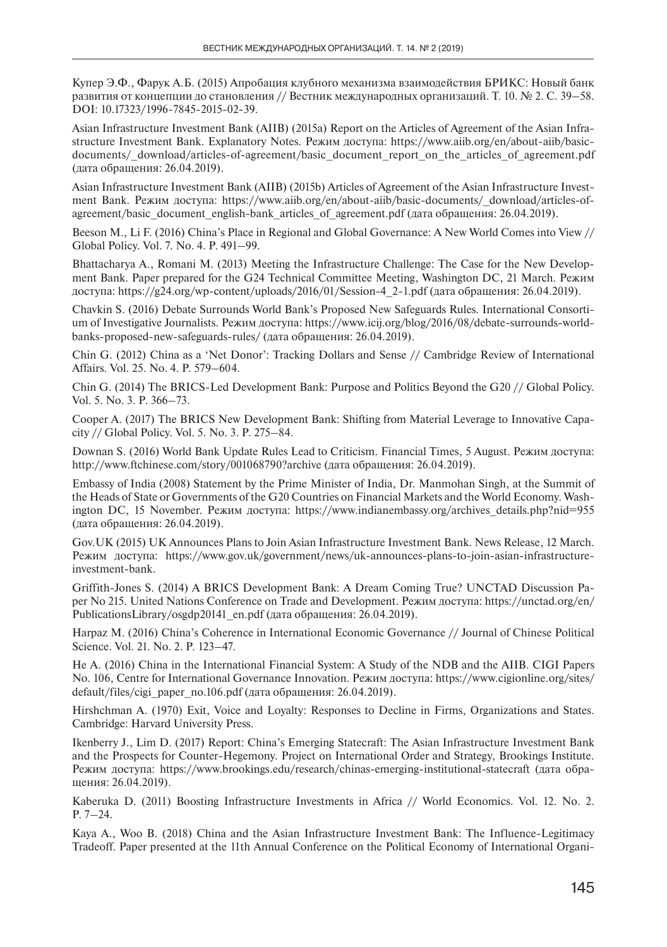Купер Э.Ф., Фарук А.Б. (2015) Апробация клубного механизма взаимодействия БРИКС: Новый банк развития от концепции до становления // Вестник международных организаций. Т. 10. № 2. С. 39–58. DOI: 10.17323/1996-7845-2015-02-39.

Asian Infrastructure Investment Bank (AIIB) (2015a) Report on the Articles of Agreement of the Asian Infrastructure Investment Bank. Explanatory Notes. Режим доступа: https://www.aiib.org/en/about-aiib/basicdocuments/\_download/articles-of-agreement/basic\_document\_report\_on\_the\_articles\_of\_agreement.pdf (дата обращения: 26.04.2019).

Asian Infrastructure Investment Bank (AIIB) (2015b) Articles of Agreement of the Asian Infrastructure Investment Bank. Режим доступа: https://www.aiib.org/en/about-aiib/basic-documents/\_download/articles-ofagreement/basic\_document\_english-bank\_articles\_of\_agreement.pdf (дата обращения: 26.04.2019).

Beeson M., Li F. (2016) China's Place in Regional and Global Governance: A New World Comes into View // Global Policy. Vol. 7. No. 4. P. 491–99.

Bhattacharya A., Romani M. (2013) Meeting the Infrastructure Challenge: The Case for the New Development Bank. Paper prepared for the G24 Technical Committee Meeting, Washington DC, 21 March. Режим доступа: https://g24.org/wp-content/uploads/2016/01/Session-4\_2-1.pdf (дата обращения: 26.04.2019).

Chavkin S. (2016) Debate Surrounds World Bank's Proposed New Safeguards Rules. International Consortium of Investigative Journalists. Режим доступа: https://www.icij.org/blog/2016/08/debate-surrounds-worldbanks-proposed-new-safeguards-rules/ (дата обращения: 26.04.2019).

Chin G. (2012) China as a 'Net Donor': Tracking Dollars and Sense // Cambridge Review of International Affairs. Vol. 25. No. 4. P. 579–604.

Chin G. (2014) The BRICS-Led Development Bank: Purpose and Politics Beyond the G20 // Global Policy. Vol. 5. No. 3. P. 366–73.

Cooper A. (2017) The BRICS New Development Bank: Shifting from Material Leverage to Innovative Capacity // Global Policy. Vol. 5. No. 3. P. 275–84.

Downan S. (2016) World Bank Update Rules Lead to Criticism. Financial Times, 5 August. Режим доступа: http://www.ftchinese.com/story/001068790?archive (дата обращения: 26.04.2019).

Embassy of India (2008) Statement by the Prime Minister of India, Dr. Manmohan Singh, at the Summit of the Heads of State or Governments of the G20 Countries on Financial Markets and the World Economy. Washington DC, 15 November. Режим доступа: https://www.indianembassy.org/archives\_details.php?nid=955 (дата обращения: 26.04.2019).

Gov.UK (2015) UK Announces Plans to Join Asian Infrastructure Investment Bank. News Release, 12 March. Режим доступа: https://www.gov.uk/government/news/uk-announces-plans-to-join-asian-infrastructureinvestment-bank.

Griffith-Jones S. (2014) A BRICS Development Bank: A Dream Coming True? UNCTAD Discussion Paper No 215. United Nations Conference on Trade and Development. Режим доступа: https://unctad.org/en/ PublicationsLibrary/osgdp20141\_en.pdf (дата обращения: 26.04.2019).

Harpaz M. (2016) China's Coherence in International Economic Governance // Journal of Chinese Political Science. Vol. 21. No. 2. P. 123–47.

He A. (2016) China in the International Financial System: A Study of the NDB and the AIIB. CIGI Papers No. 106, Centre for International Governance Innovation. Режим доступа: https://www.cigionline.org/sites/ default/files/cigi\_paper\_no.106.pdf (дата обращения: 26.04.2019).

Hirshchman A. (1970) Exit, Voice and Loyalty: Responses to Decline in Firms, Organizations and States. Cambridge: Harvard University Press.

Ikenberry J., Lim D. (2017) Report: China's Emerging Statecraft: The Asian Infrastructure Investment Bank and the Prospects for Counter-Hegemony. Project on International Order and Strategy, Brookings Institute. Режим доступа: https://www.brookings.edu/research/chinas-emerging-institutional-statecraft (дата обращения: 26.04.2019).

Kaberuka D. (2011) Boosting Infrastructure Investments in Africa // World Economics. Vol. 12. No. 2. P. 7–24.

Kaya A., Woo B. (2018) China and the Asian Infrastructure Investment Bank: The Influence-Legitimacy Tradeoff. Paper presented at the 11th Annual Conference on the Political Economy of International Organi